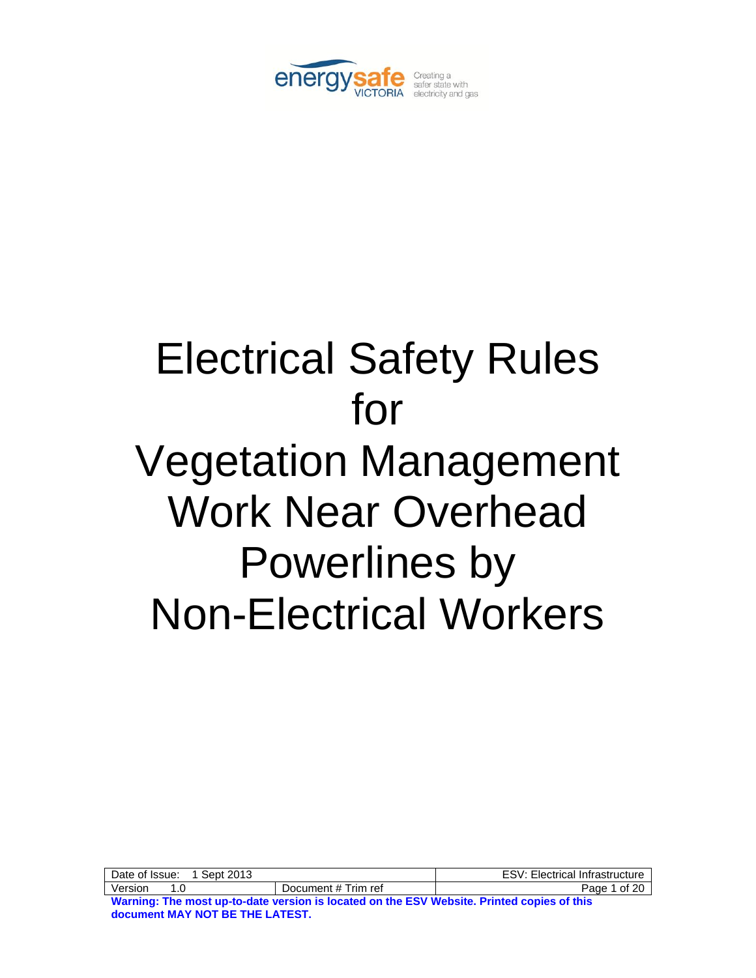

# Electrical Safety Rules for Vegetation Management Work Near Overhead Powerlines by Non-Electrical Workers

| 1 Sept 2013<br>Date of Issue:                                                              |                     | <b>ESV: Electrical Infrastructure</b> |
|--------------------------------------------------------------------------------------------|---------------------|---------------------------------------|
| Version<br>1 N                                                                             | Document # Trim ref | Page 1 of 20                          |
| Warning: The most up-to-date version is located on the ESV Website. Printed copies of this |                     |                                       |

**document MAY NOT BE THE LATEST.**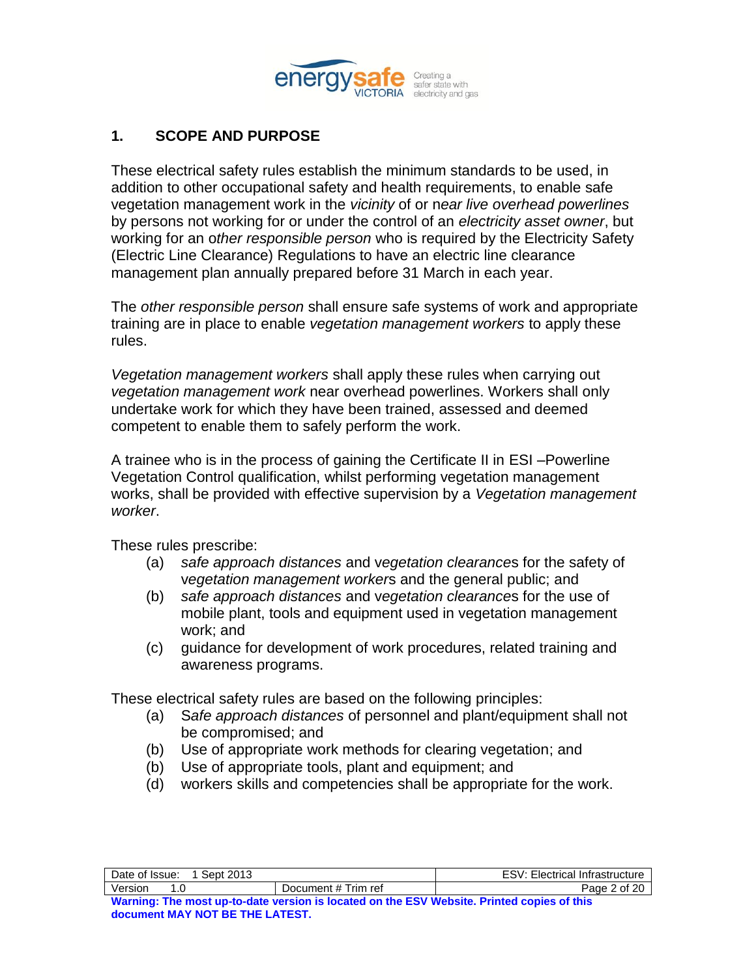

# **1. SCOPE AND PURPOSE**

These electrical safety rules establish the minimum standards to be used, in addition to other occupational safety and health requirements, to enable safe vegetation management work in the *vicinity* of or n*ear live overhead powerlines* by persons not working for or under the control of an *electricity asset owner*, but working for an o*ther responsible person* who is required by the Electricity Safety (Electric Line Clearance) Regulations to have an electric line clearance management plan annually prepared before 31 March in each year.

The *other responsible person* shall ensure safe systems of work and appropriate training are in place to enable *vegetation management workers* to apply these rules.

*Vegetation management workers* shall apply these rules when carrying out *vegetation management work* near overhead powerlines. Workers shall only undertake work for which they have been trained, assessed and deemed competent to enable them to safely perform the work.

A trainee who is in the process of gaining the Certificate II in ESI –Powerline Vegetation Control qualification, whilst performing vegetation management works, shall be provided with effective supervision by a *Vegetation management worker*.

These rules prescribe:

**document MAY NOT BE THE LATEST.** 

- (a) *safe approach distances* and v*egetation clearance*s for the safety of v*egetation management worker*s and the general public; and
- (b) *safe approach distances* and v*egetation clearance*s for the use of mobile plant, tools and equipment used in vegetation management work; and
- (c) guidance for development of work procedures, related training and awareness programs.

These electrical safety rules are based on the following principles:

- (a) S*afe approach distances* of personnel and plant/equipment shall not be compromised; and
- (b) Use of appropriate work methods for clearing vegetation; and
- (b) Use of appropriate tools, plant and equipment; and
- (d) workers skills and competencies shall be appropriate for the work.

| 1 Sept 2013<br>Date of Issue:                                                              |                     | <b>ESV: Electrical Infrastructure</b> |
|--------------------------------------------------------------------------------------------|---------------------|---------------------------------------|
| Version<br>1 በ                                                                             | Document # Trim ref | Page 2 of 20                          |
| Warning: The most up-to-date version is located on the ESV Website. Printed copies of this |                     |                                       |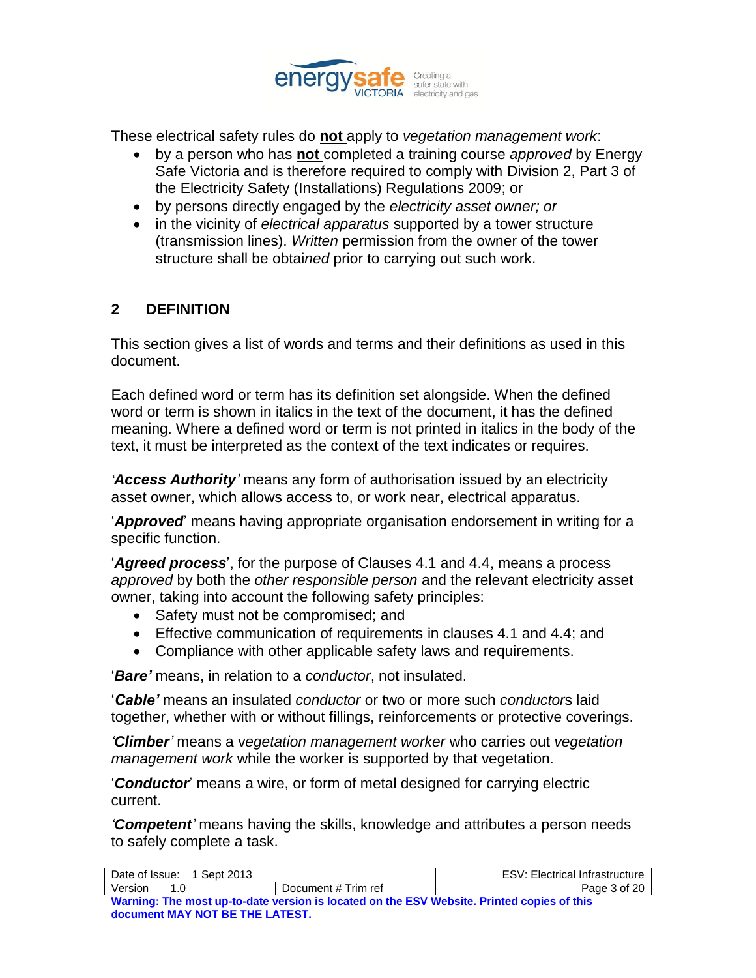

These electrical safety rules do **not** apply to *vegetation management work*:

- by a person who has **not** completed a training course *approved* by Energy Safe Victoria and is therefore required to comply with Division 2, Part 3 of the Electricity Safety (Installations) Regulations 2009; or
- by persons directly engaged by the *electricity asset owner; or*
- in the vicinity of *electrical apparatus* supported by a tower structure (transmission lines). *Written* permission from the owner of the tower structure shall be obtai*ned* prior to carrying out such work.

# **2 DEFINITION**

This section gives a list of words and terms and their definitions as used in this document.

Each defined word or term has its definition set alongside. When the defined word or term is shown in italics in the text of the document, it has the defined meaning. Where a defined word or term is not printed in italics in the body of the text, it must be interpreted as the context of the text indicates or requires.

*'Access Authority'* means any form of authorisation issued by an electricity asset owner, which allows access to, or work near, electrical apparatus.

"*Approved*" means having appropriate organisation endorsement in writing for a specific function.

"*Agreed process*", for the purpose of Clauses 4.1 and 4.4, means a process *approved* by both the *other responsible person* and the relevant electricity asset owner, taking into account the following safety principles:

- Safety must not be compromised; and
- Effective communication of requirements in clauses 4.1 and 4.4; and
- Compliance with other applicable safety laws and requirements.

"*Bare'* means, in relation to a *conductor*, not insulated.

"*Cable'* means an insulated *conductor* or two or more such *conductor*s laid together, whether with or without fillings, reinforcements or protective coverings.

*'Climber'* means a v*egetation management worker* who carries out *vegetation management work* while the worker is supported by that vegetation.

"*Conductor*" means a wire, or form of metal designed for carrying electric current.

*'Competent'* means having the skills, knowledge and attributes a person needs to safely complete a task.

| Date of Issue:<br>1 Sept 2013                                                              |                     | <b>ESV: Electrical Infrastructure</b> |
|--------------------------------------------------------------------------------------------|---------------------|---------------------------------------|
| Version                                                                                    | Document # Trim ref | Page 3 of 20                          |
| Warning: The most up-to-date version is located on the ESV Website. Printed copies of this |                     |                                       |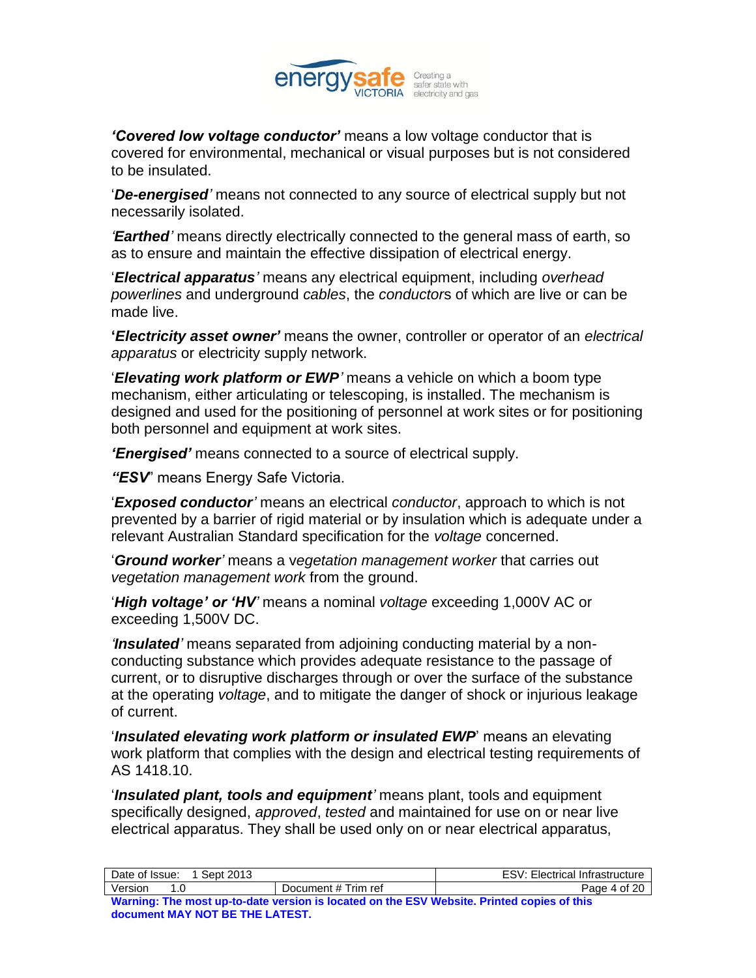

*'Covered low voltage conductor'* means a low voltage conductor that is covered for environmental, mechanical or visual purposes but is not considered to be insulated.

"*De-energised'* means not connected to any source of electrical supply but not necessarily isolated.

*'Earthed'* means directly electrically connected to the general mass of earth, so as to ensure and maintain the effective dissipation of electrical energy.

"*Electrical apparatus'* means any electrical equipment, including *overhead powerlines* and underground *cables*, the *conductor*s of which are live or can be made live.

**'***Electricity asset owner'* means the owner, controller or operator of an *electrical apparatus* or electricity supply network.

"*Elevating work platform or EWP'* means a vehicle on which a boom type mechanism, either articulating or telescoping, is installed. The mechanism is designed and used for the positioning of personnel at work sites or for positioning both personnel and equipment at work sites.

*'Energised'* means connected to a source of electrical supply.

*"ESV*" means Energy Safe Victoria.

"*Exposed conductor'* means an electrical *conductor*, approach to which is not prevented by a barrier of rigid material or by insulation which is adequate under a relevant Australian Standard specification for the *voltage* concerned.

"*Ground worker'* means a v*egetation management worker* that carries out *vegetation management work* from the ground.

"*High voltage' or 'HV'* means a nominal *voltage* exceeding 1,000V AC or exceeding 1,500V DC.

*'Insulated'* means separated from adjoining conducting material by a nonconducting substance which provides adequate resistance to the passage of current, or to disruptive discharges through or over the surface of the substance at the operating *voltage*, and to mitigate the danger of shock or injurious leakage of current.

"*Insulated elevating work platform or insulated EWP*" means an elevating work platform that complies with the design and electrical testing requirements of AS 1418.10.

"*Insulated plant, tools and equipment'* means plant, tools and equipment specifically designed, *approved*, *tested* and maintained for use on or near live electrical apparatus. They shall be used only on or near electrical apparatus,

| Date of Issue:<br>1 Sept 2013                                                              |                     | <b>ESV: Electrical Infrastructure</b> |
|--------------------------------------------------------------------------------------------|---------------------|---------------------------------------|
| Version<br>1 በ                                                                             | Document # Trim ref | Page 4 of 20                          |
| Warning: The most up-to-date version is located on the ESV Website. Printed copies of this |                     |                                       |
| document MAY NOT BE THE LATEST.                                                            |                     |                                       |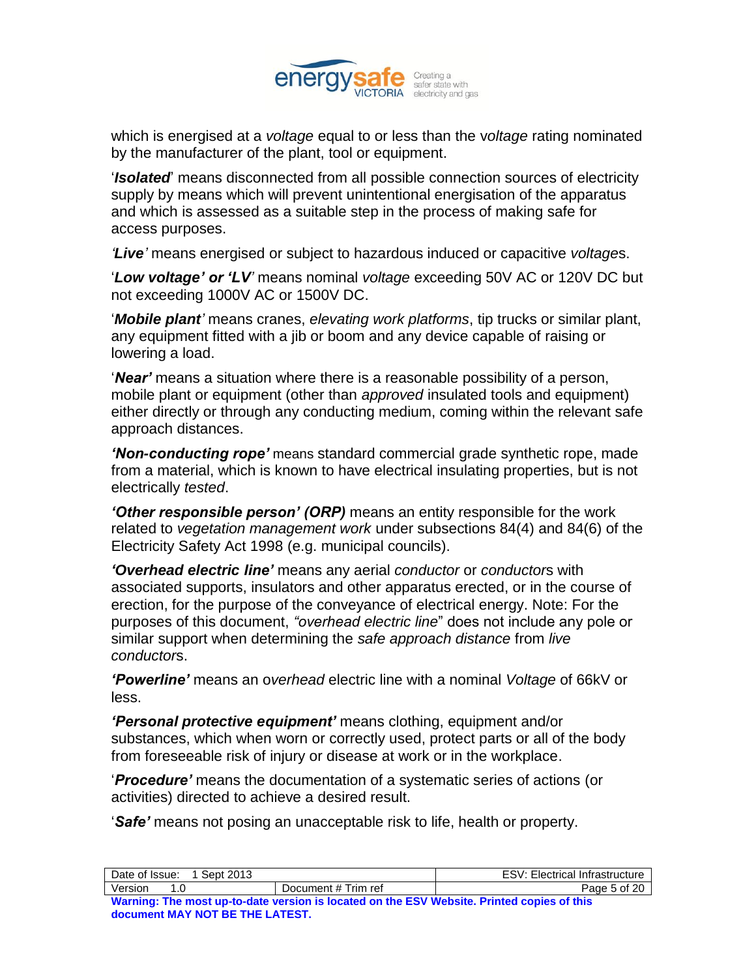

which is energised at a *voltage* equal to or less than the v*oltage* rating nominated by the manufacturer of the plant, tool or equipment.

"*Isolated*" means disconnected from all possible connection sources of electricity supply by means which will prevent unintentional energisation of the apparatus and which is assessed as a suitable step in the process of making safe for access purposes.

*'Live'* means energised or subject to hazardous induced or capacitive *voltage*s.

"*Low voltage' or 'LV'* means nominal *voltage* exceeding 50V AC or 120V DC but not exceeding 1000V AC or 1500V DC.

"*Mobile plant'* means cranes, *elevating work platforms*, tip trucks or similar plant, any equipment fitted with a jib or boom and any device capable of raising or lowering a load.

"*Near'* means a situation where there is a reasonable possibility of a person, mobile plant or equipment (other than *approved* insulated tools and equipment) either directly or through any conducting medium, coming within the relevant safe approach distances.

*'Non-conducting rope'* means standard commercial grade synthetic rope, made from a material, which is known to have electrical insulating properties, but is not electrically *tested*.

*'Other responsible person' (ORP)* means an entity responsible for the work related to *vegetation management work* under subsections 84(4) and 84(6) of the Electricity Safety Act 1998 (e.g. municipal councils).

*'Overhead electric line'* means any aerial *conductor* or *conductor*s with associated supports, insulators and other apparatus erected, or in the course of erection, for the purpose of the conveyance of electrical energy. Note: For the purposes of this document, *"overhead electric line*" does not include any pole or similar support when determining the *safe approach distance* from *live conductor*s.

*'Powerline'* means an o*verhead* electric line with a nominal *Voltage* of 66kV or less.

*'Personal protective equipment'* means clothing, equipment and/or substances, which when worn or correctly used, protect parts or all of the body from foreseeable risk of injury or disease at work or in the workplace.

"*Procedure'* means the documentation of a systematic series of actions (or activities) directed to achieve a desired result.

"*Safe'* means not posing an unacceptable risk to life, health or property.

| Date of Issue:<br>Sept 2013                                                                |                     | <b>ESV: Electrical Infrastructure</b> |
|--------------------------------------------------------------------------------------------|---------------------|---------------------------------------|
| Version<br>1 በ                                                                             | Document # Trim ref | Page 5 of 20                          |
| Warning: The most up-to-date version is located on the ESV Website. Printed copies of this |                     |                                       |
| document MAY NOT BE THE LATEST.                                                            |                     |                                       |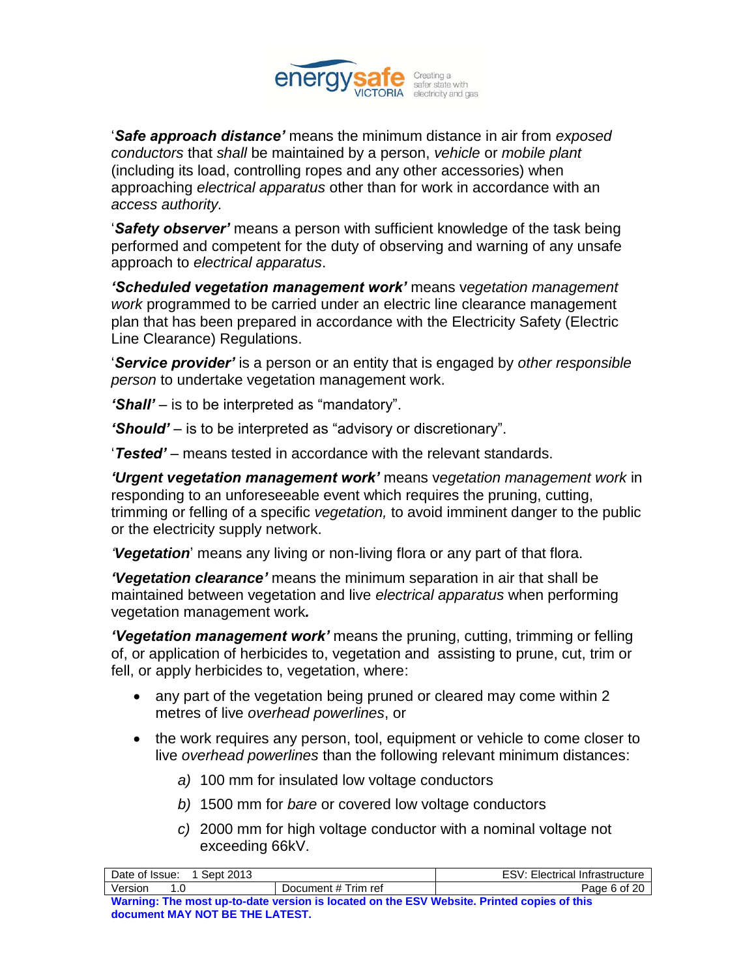

"*Safe approach distance'* means the minimum distance in air from *exposed conductors* that *shall* be maintained by a person, *vehicle* or *mobile plant* (including its load, controlling ropes and any other accessories) when approaching *electrical apparatus* other than for work in accordance with an *access authority.*

"*Safety observer'* means a person with sufficient knowledge of the task being performed and competent for the duty of observing and warning of any unsafe approach to *electrical apparatus*.

*'Scheduled vegetation management work'* means v*egetation management work* programmed to be carried under an electric line clearance management plan that has been prepared in accordance with the Electricity Safety (Electric Line Clearance) Regulations.

"*Service provider'* is a person or an entity that is engaged by *other responsible person* to undertake vegetation management work.

*'Shall'* – is to be interpreted as "mandatory".

*'Should'* – is to be interpreted as "advisory or discretionary".

"*Tested'* – means tested in accordance with the relevant standards.

*'Urgent vegetation management work'* means v*egetation management work* in responding to an unforeseeable event which requires the pruning, cutting, trimming or felling of a specific *vegetation,* to avoid imminent danger to the public or the electricity supply network.

*'Vegetation*" means any living or non-living flora or any part of that flora.

*'Vegetation clearance'* means the minimum separation in air that shall be maintained between vegetation and live *electrical apparatus* when performing vegetation management work*.*

*'Vegetation management work'* means the pruning, cutting, trimming or felling of, or application of herbicides to, vegetation and assisting to prune, cut, trim or fell, or apply herbicides to, vegetation, where:

- any part of the vegetation being pruned or cleared may come within 2 metres of live *overhead powerlines*, or
- the work requires any person, tool, equipment or vehicle to come closer to live *overhead powerlines* than the following relevant minimum distances:
	- *a)* 100 mm for insulated low voltage conductors
	- *b)* 1500 mm for *bare* or covered low voltage conductors
	- *c)* 2000 mm for high voltage conductor with a nominal voltage not exceeding 66kV.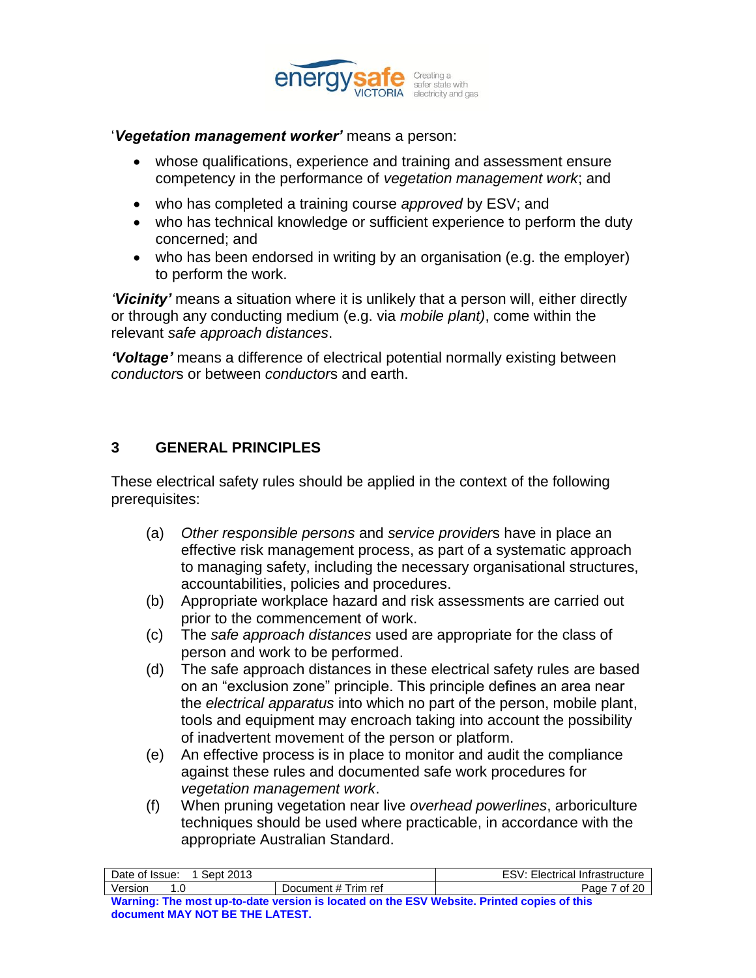

#### "*Vegetation management worker'* means a person:

- whose qualifications, experience and training and assessment ensure competency in the performance of *vegetation management work*; and
- who has completed a training course *approved* by ESV; and
- who has technical knowledge or sufficient experience to perform the duty concerned; and
- who has been endorsed in writing by an organisation (e.g. the employer) to perform the work.

*'Vicinity'* means a situation where it is unlikely that a person will, either directly or through any conducting medium (e.g. via *mobile plant)*, come within the relevant *safe approach distances*.

*'Voltage'* means a difference of electrical potential normally existing between *conductor*s or between *conductor*s and earth.

### **3 GENERAL PRINCIPLES**

These electrical safety rules should be applied in the context of the following prerequisites:

- (a) *Other responsible persons* and *service provider*s have in place an effective risk management process, as part of a systematic approach to managing safety, including the necessary organisational structures, accountabilities, policies and procedures.
- (b) Appropriate workplace hazard and risk assessments are carried out prior to the commencement of work.
- (c) The *safe approach distances* used are appropriate for the class of person and work to be performed.
- (d) The safe approach distances in these electrical safety rules are based on an "exclusion zone" principle. This principle defines an area near the *electrical apparatus* into which no part of the person, mobile plant, tools and equipment may encroach taking into account the possibility of inadvertent movement of the person or platform.
- (e) An effective process is in place to monitor and audit the compliance against these rules and documented safe work procedures for *vegetation management work*.
- (f) When pruning vegetation near live *overhead powerlines*, arboriculture techniques should be used where practicable, in accordance with the appropriate Australian Standard.

| Sept 2013<br>Date of Issue:                                                                |                     | <b>ESV: Electrical Infrastructure</b> |
|--------------------------------------------------------------------------------------------|---------------------|---------------------------------------|
| Version<br>1 በ                                                                             | Document # Trim ref | Page 7 of 20                          |
| Warning: The most up-to-date version is located on the ESV Website. Printed copies of this |                     |                                       |
| document MAY NOT BE THE LATEST.                                                            |                     |                                       |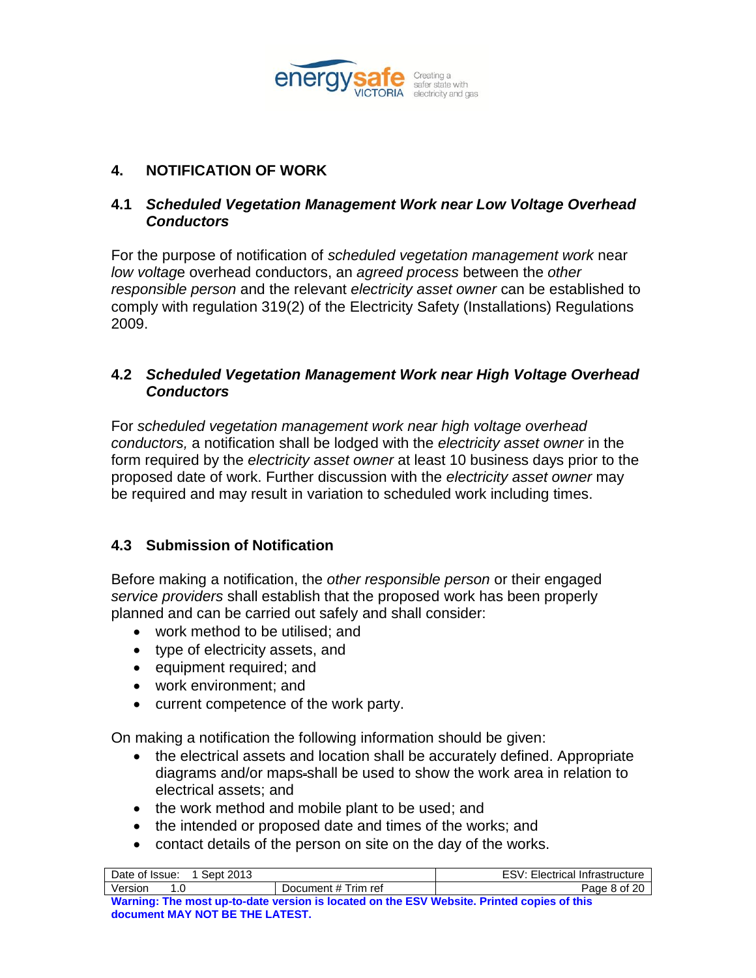

# **4. NOTIFICATION OF WORK**

## **4.1** *Scheduled Vegetation Management Work near Low Voltage Overhead Conductors*

For the purpose of notification of *scheduled vegetation management work* near *low voltag*e overhead conductors, an *agreed process* between the *other responsible person* and the relevant *electricity asset owner* can be established to comply with regulation 319(2) of the Electricity Safety (Installations) Regulations 2009.

## **4.2** *Scheduled Vegetation Management Work near High Voltage Overhead Conductors*

For *scheduled vegetation management work near high voltage overhead conductors,* a notification shall be lodged with the *electricity asset owner* in the form required by the *electricity asset owner* at least 10 business days prior to the proposed date of work. Further discussion with the *electricity asset owner* may be required and may result in variation to scheduled work including times.

# **4.3 Submission of Notification**

Before making a notification, the *other responsible person* or their engaged *service providers* shall establish that the proposed work has been properly planned and can be carried out safely and shall consider:

- work method to be utilised; and
- type of electricity assets, and
- equipment required; and
- work environment; and
- current competence of the work party.

On making a notification the following information should be given:

- the electrical assets and location shall be accurately defined. Appropriate diagrams and/or maps-shall be used to show the work area in relation to electrical assets; and
- the work method and mobile plant to be used; and
- the intended or proposed date and times of the works; and
- contact details of the person on site on the day of the works.

| 1 Sept 2013<br>Date of Issue:                                                              |                     | <b>ESV: Electrical Infrastructure</b> |
|--------------------------------------------------------------------------------------------|---------------------|---------------------------------------|
| Version<br>1 በ                                                                             | Document # Trim ref | Page 8 of 20                          |
| Warning: The most up-to-date version is located on the ESV Website. Printed copies of this |                     |                                       |
| document MAY NOT BE THE LATEST.                                                            |                     |                                       |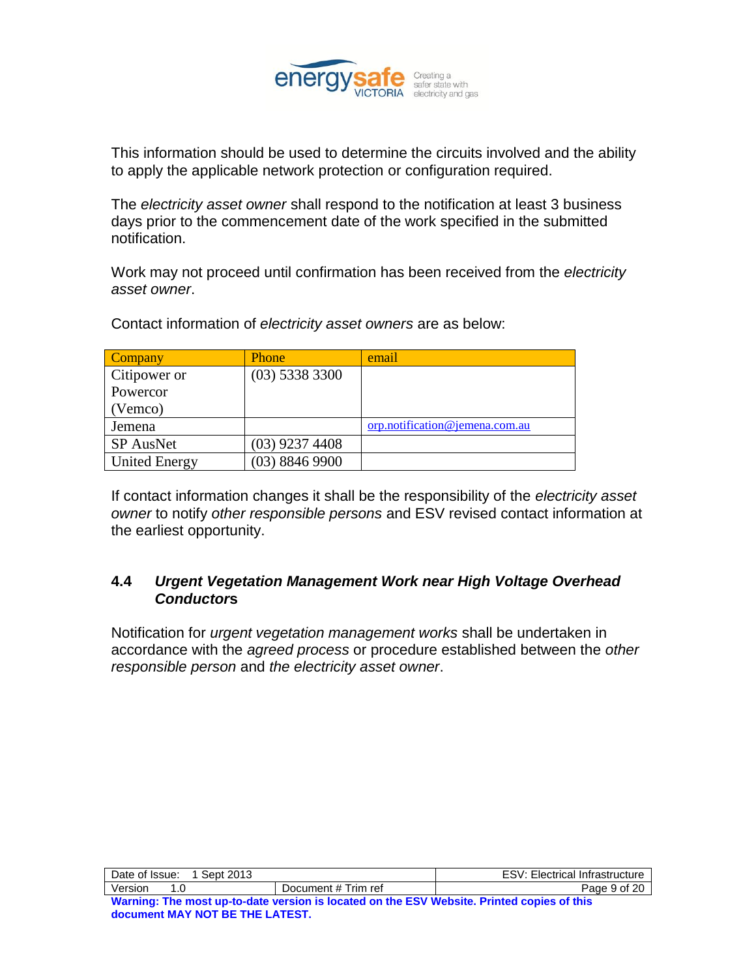

This information should be used to determine the circuits involved and the ability to apply the applicable network protection or configuration required.

The *electricity asset owner* shall respond to the notification at least 3 business days prior to the commencement date of the work specified in the submitted notification.

Work may not proceed until confirmation has been received from the *electricity asset owner*.

Contact information of *electricity asset owners* are as below:

| Company              | <b>Phone</b>     | email                          |
|----------------------|------------------|--------------------------------|
| Citipower or         | $(03)$ 5338 3300 |                                |
| Powercor             |                  |                                |
| (Vemco)              |                  |                                |
| Jemena               |                  | orp.notification@jemena.com.au |
| SP AusNet            | $(03)$ 9237 4408 |                                |
| <b>United Energy</b> | $(03)$ 8846 9900 |                                |

If contact information changes it shall be the responsibility of the *electricity asset owner* to notify *other responsible persons* and ESV revised contact information at the earliest opportunity.

### **4.4** *Urgent Vegetation Management Work near High Voltage Overhead Conductor***s**

Notification for *urgent vegetation management works* shall be undertaken in accordance with the *agreed process* or procedure established between the *other responsible person* and *the electricity asset owner*.

| Date of Issue:                                                                             | Sept 2013 |                     | <b>ESV: Electrical Infrastructure</b> |
|--------------------------------------------------------------------------------------------|-----------|---------------------|---------------------------------------|
| Version                                                                                    |           | Document # Trim ref | Page 9 of 20                          |
| Warning: The most un-to-date version is located on the FSV Website. Printed conjes of this |           |                     |                                       |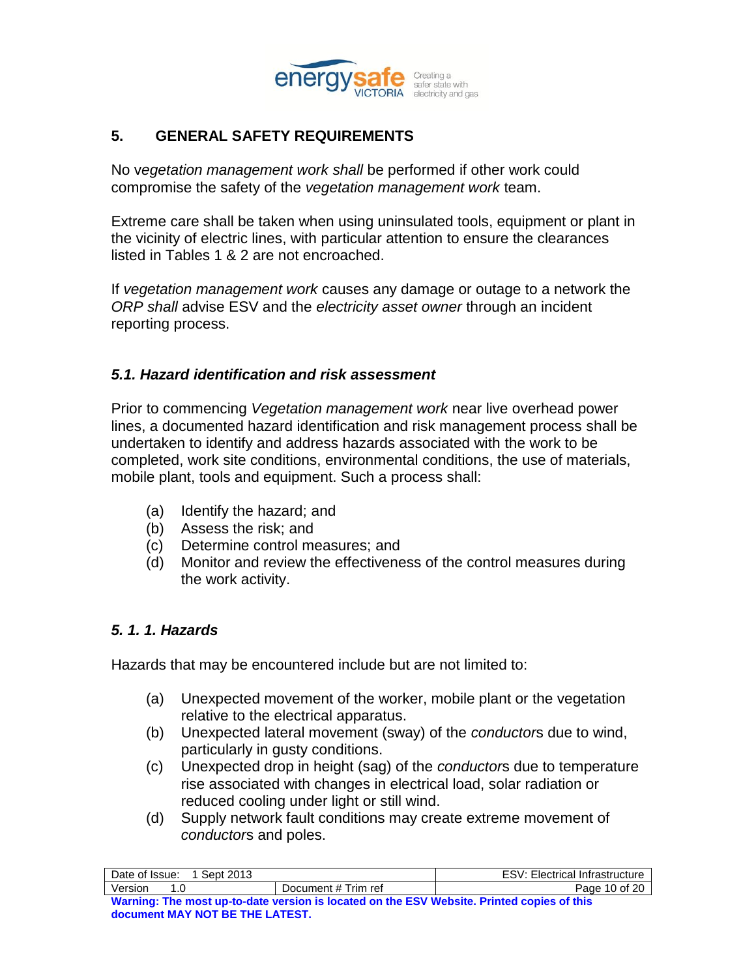

# **5. GENERAL SAFETY REQUIREMENTS**

No v*egetation management work shall* be performed if other work could compromise the safety of the *vegetation management work* team.

Extreme care shall be taken when using uninsulated tools, equipment or plant in the vicinity of electric lines, with particular attention to ensure the clearances listed in Tables 1 & 2 are not encroached.

If *vegetation management work* causes any damage or outage to a network the *ORP shall* advise ESV and the *electricity asset owner* through an incident reporting process.

#### *5.1. Hazard identification and risk assessment*

Prior to commencing *Vegetation management work* near live overhead power lines, a documented hazard identification and risk management process shall be undertaken to identify and address hazards associated with the work to be completed, work site conditions, environmental conditions, the use of materials, mobile plant, tools and equipment. Such a process shall:

- (a) Identify the hazard; and
- (b) Assess the risk; and
- (c) Determine control measures; and
- (d) Monitor and review the effectiveness of the control measures during the work activity.

### *5. 1. 1. Hazards*

Hazards that may be encountered include but are not limited to:

- (a) Unexpected movement of the worker, mobile plant or the vegetation relative to the electrical apparatus.
- (b) Unexpected lateral movement (sway) of the *conductor*s due to wind, particularly in gusty conditions.
- (c) Unexpected drop in height (sag) of the *conductor*s due to temperature rise associated with changes in electrical load, solar radiation or reduced cooling under light or still wind.
- (d) Supply network fault conditions may create extreme movement of *conductor*s and poles.

| Date of Issue:<br>Sept 2013                                                                |                     | <b>ESV: Electrical Infrastructure</b> |
|--------------------------------------------------------------------------------------------|---------------------|---------------------------------------|
| Version<br>1 N                                                                             | Document # Trim ref | Page 10 of 20                         |
| Warning: The most up-to-date version is located on the ESV Website. Printed copies of this |                     |                                       |
| document MAY NOT BE THE LATEST.                                                            |                     |                                       |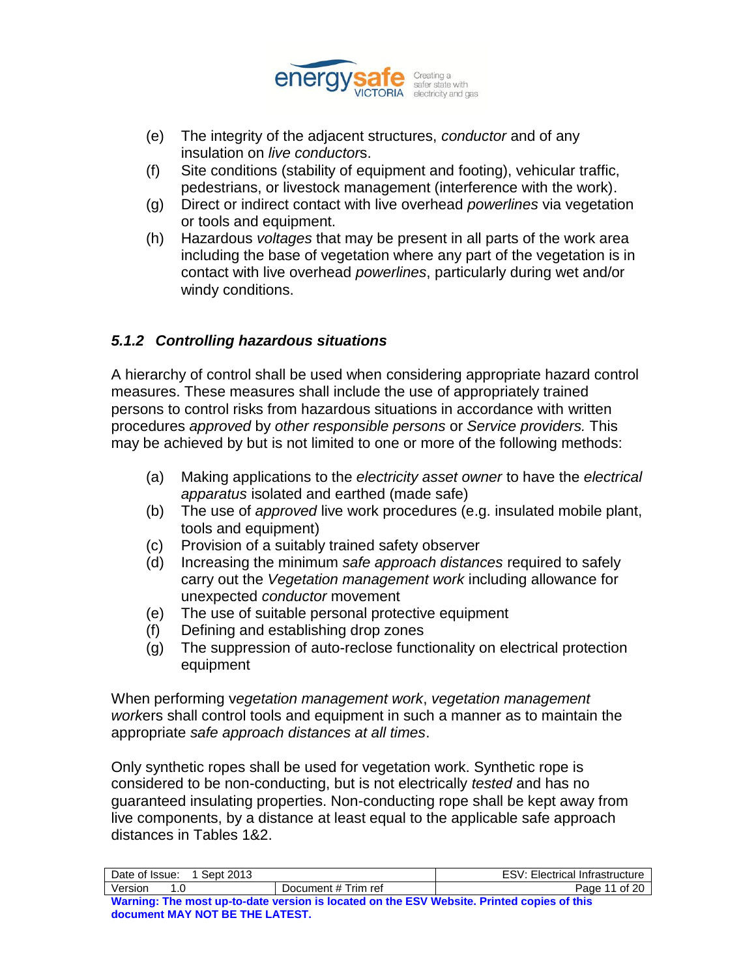

- (e) The integrity of the adjacent structures, *conductor* and of any insulation on *live conductor*s.
- (f) Site conditions (stability of equipment and footing), vehicular traffic, pedestrians, or livestock management (interference with the work).
- (g) Direct or indirect contact with live overhead *powerlines* via vegetation or tools and equipment.
- (h) Hazardous *voltages* that may be present in all parts of the work area including the base of vegetation where any part of the vegetation is in contact with live overhead *powerlines*, particularly during wet and/or windy conditions.

## *5.1.2 Controlling hazardous situations*

A hierarchy of control shall be used when considering appropriate hazard control measures. These measures shall include the use of appropriately trained persons to control risks from hazardous situations in accordance with written procedures *approved* by *other responsible persons* or *Service providers.* This may be achieved by but is not limited to one or more of the following methods:

- (a) Making applications to the *electricity asset owner* to have the *electrical apparatus* isolated and earthed (made safe)
- (b) The use of *approved* live work procedures (e.g. insulated mobile plant, tools and equipment)
- (c) Provision of a suitably trained safety observer
- (d) Increasing the minimum *safe approach distances* required to safely carry out the *Vegetation management work* including allowance for unexpected *conductor* movement
- (e) The use of suitable personal protective equipment
- (f) Defining and establishing drop zones
- (g) The suppression of auto-reclose functionality on electrical protection equipment

When performing v*egetation management work*, *vegetation management work*ers shall control tools and equipment in such a manner as to maintain the appropriate *safe approach distances at all times*.

Only synthetic ropes shall be used for vegetation work. Synthetic rope is considered to be non-conducting, but is not electrically *tested* and has no guaranteed insulating properties. Non-conducting rope shall be kept away from live components, by a distance at least equal to the applicable safe approach distances in Tables 1&2.

| Date of Issue:<br>1 Sept 2013                                                              |                     | <b>ESV: Electrical Infrastructure</b> |
|--------------------------------------------------------------------------------------------|---------------------|---------------------------------------|
| Version<br>1 N                                                                             | Document # Trim ref | Page 11 of 20                         |
| Warning: The most up-to-date version is located on the ESV Website. Printed copies of this |                     |                                       |
| document MAY NOT BE THE LATEST.                                                            |                     |                                       |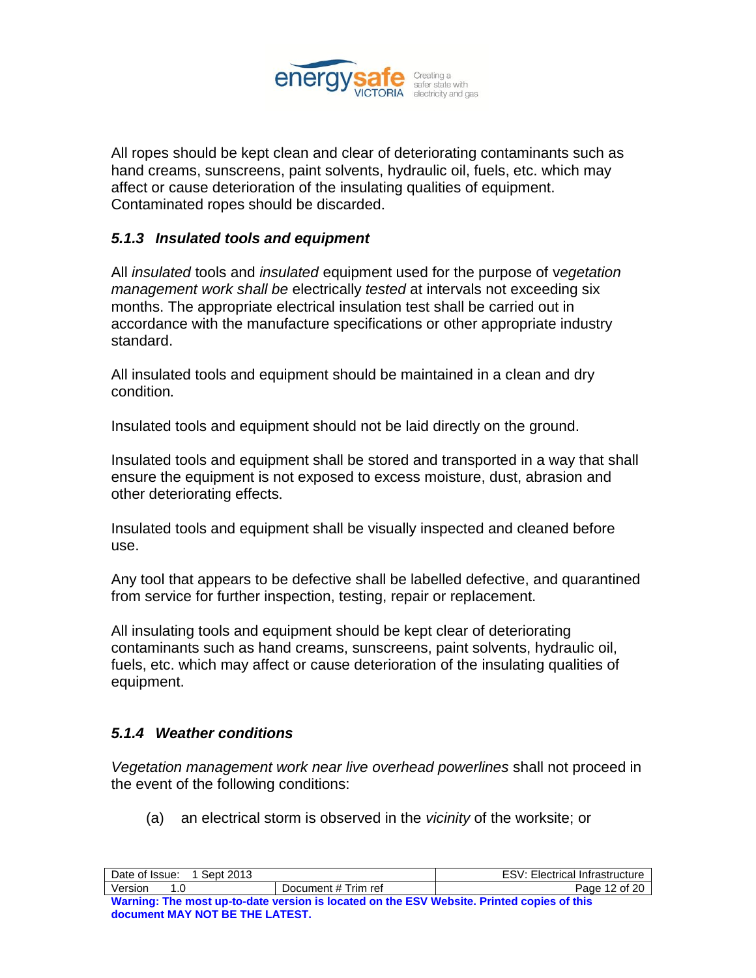

All ropes should be kept clean and clear of deteriorating contaminants such as hand creams, sunscreens, paint solvents, hydraulic oil, fuels, etc. which may affect or cause deterioration of the insulating qualities of equipment. Contaminated ropes should be discarded.

## *5.1.3 Insulated tools and equipment*

All *insulated* tools and *insulated* equipment used for the purpose of v*egetation management work shall be* electrically *tested* at intervals not exceeding six months. The appropriate electrical insulation test shall be carried out in accordance with the manufacture specifications or other appropriate industry standard.

All insulated tools and equipment should be maintained in a clean and dry condition*.*

Insulated tools and equipment should not be laid directly on the ground.

Insulated tools and equipment shall be stored and transported in a way that shall ensure the equipment is not exposed to excess moisture, dust, abrasion and other deteriorating effects*.*

Insulated tools and equipment shall be visually inspected and cleaned before use.

Any tool that appears to be defective shall be labelled defective, and quarantined from service for further inspection, testing, repair or replacement.

All insulating tools and equipment should be kept clear of deteriorating contaminants such as hand creams, sunscreens, paint solvents, hydraulic oil, fuels, etc. which may affect or cause deterioration of the insulating qualities of equipment.

### *5.1.4 Weather conditions*

*Vegetation management work near live overhead powerlines* shall not proceed in the event of the following conditions:

(a) an electrical storm is observed in the *vicinity* of the worksite; or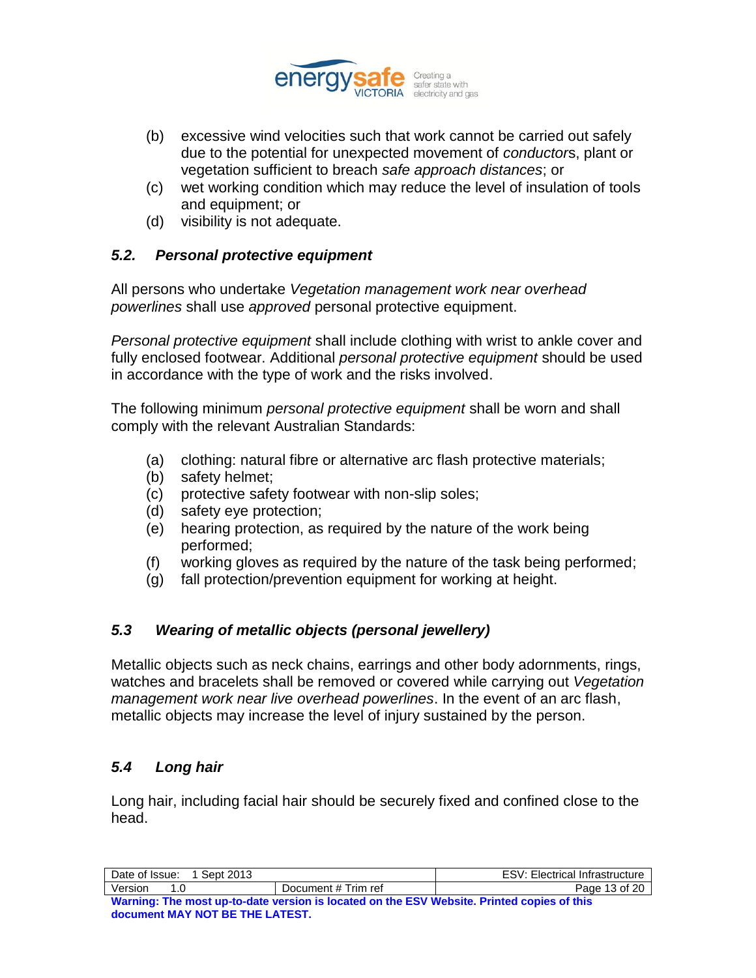

- (b) excessive wind velocities such that work cannot be carried out safely due to the potential for unexpected movement of *conductor*s, plant or vegetation sufficient to breach *safe approach distances*; or
- (c) wet working condition which may reduce the level of insulation of tools and equipment; or
- (d) visibility is not adequate.

# *5.2. Personal protective equipment*

All persons who undertake *Vegetation management work near overhead powerlines* shall use *approved* personal protective equipment.

*Personal protective equipment* shall include clothing with wrist to ankle cover and fully enclosed footwear. Additional *personal protective equipment* should be used in accordance with the type of work and the risks involved.

The following minimum *personal protective equipment* shall be worn and shall comply with the relevant Australian Standards:

- (a) clothing: natural fibre or alternative arc flash protective materials;
- (b) safety helmet;
- (c) protective safety footwear with non-slip soles;
- (d) safety eye protection;
- (e) hearing protection, as required by the nature of the work being performed;
- (f) working gloves as required by the nature of the task being performed;
- (g) fall protection/prevention equipment for working at height.

# *5.3 Wearing of metallic objects (personal jewellery)*

Metallic objects such as neck chains, earrings and other body adornments, rings, watches and bracelets shall be removed or covered while carrying out *Vegetation management work near live overhead powerlines*. In the event of an arc flash, metallic objects may increase the level of injury sustained by the person.

# *5.4 Long hair*

Long hair, including facial hair should be securely fixed and confined close to the head.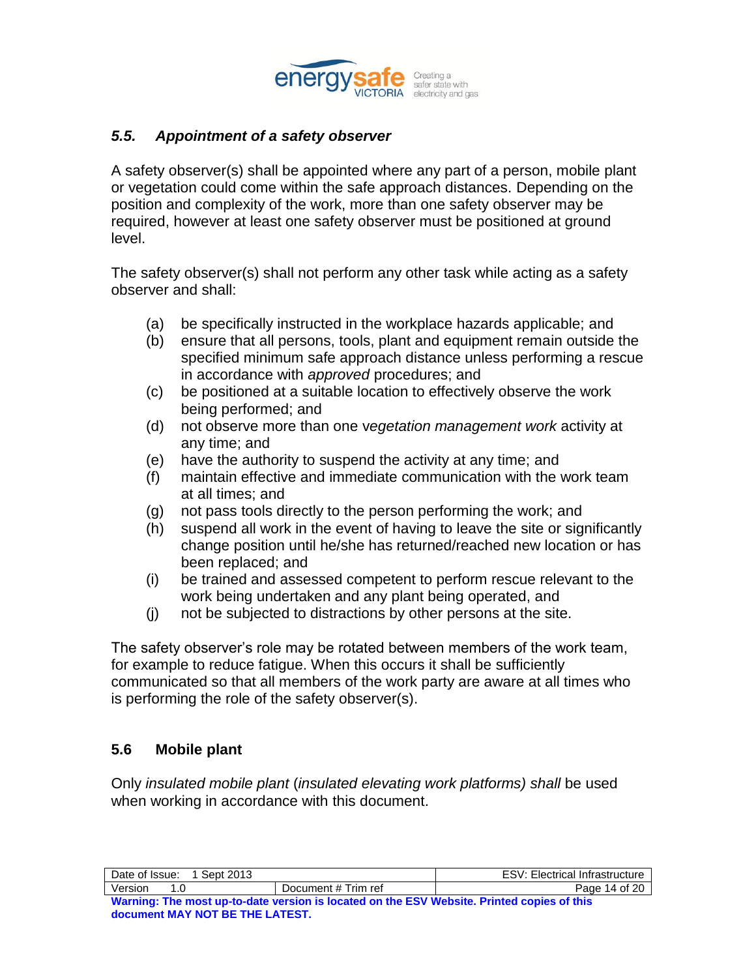

### *5.5. Appointment of a safety observer*

A safety observer(s) shall be appointed where any part of a person, mobile plant or vegetation could come within the safe approach distances. Depending on the position and complexity of the work, more than one safety observer may be required, however at least one safety observer must be positioned at ground level.

The safety observer(s) shall not perform any other task while acting as a safety observer and shall:

- (a) be specifically instructed in the workplace hazards applicable; and
- (b) ensure that all persons, tools, plant and equipment remain outside the specified minimum safe approach distance unless performing a rescue in accordance with *approved* procedures; and
- (c) be positioned at a suitable location to effectively observe the work being performed; and
- (d) not observe more than one v*egetation management work* activity at any time; and
- (e) have the authority to suspend the activity at any time; and
- (f) maintain effective and immediate communication with the work team at all times; and
- (g) not pass tools directly to the person performing the work; and
- (h) suspend all work in the event of having to leave the site or significantly change position until he/she has returned/reached new location or has been replaced; and
- (i) be trained and assessed competent to perform rescue relevant to the work being undertaken and any plant being operated, and
- (j) not be subjected to distractions by other persons at the site.

The safety observer"s role may be rotated between members of the work team, for example to reduce fatigue. When this occurs it shall be sufficiently communicated so that all members of the work party are aware at all times who is performing the role of the safety observer(s).

### **5.6 Mobile plant**

Only *insulated mobile plant* (*insulated elevating work platforms) shall* be used when working in accordance with this document.

| Date of Issue: 1 Sept 2013                                                                 |                     | <b>ESV: Electrical Infrastructure</b> |
|--------------------------------------------------------------------------------------------|---------------------|---------------------------------------|
| Version<br>1 O                                                                             | Document # Trim ref | Page 14 of 20                         |
| Warning: The most up-to-date version is located on the ESV Website. Printed copies of this |                     |                                       |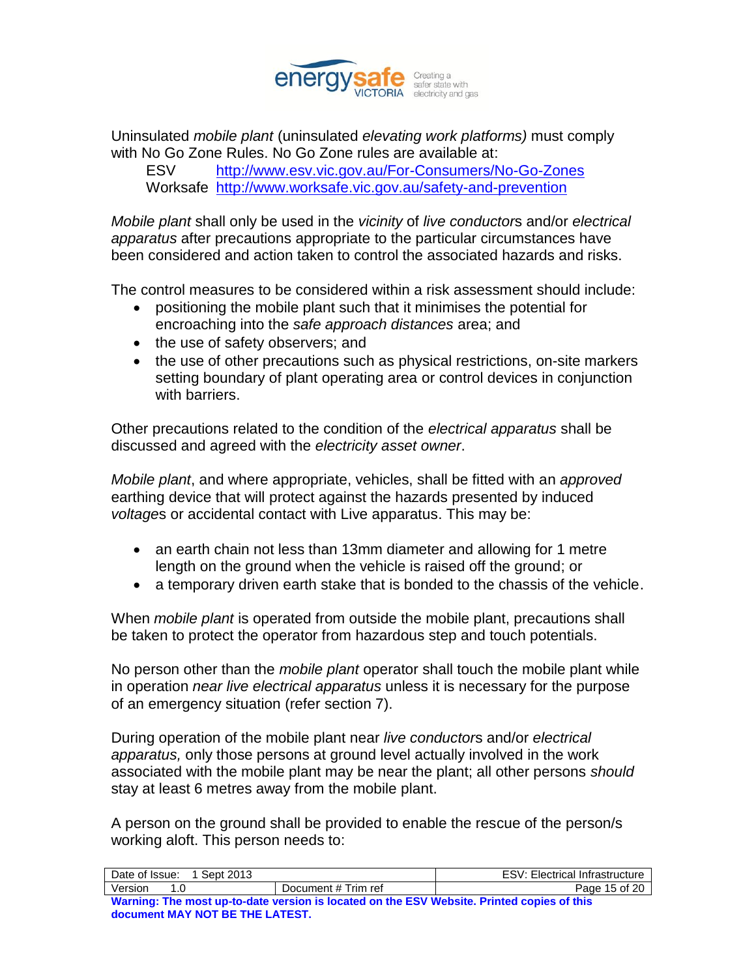

Uninsulated *mobile plant* (uninsulated *elevating work platforms)* must comply with No Go Zone Rules. No Go Zone rules are available at:

ESV <http://www.esv.vic.gov.au/For-Consumers/No-Go-Zones> Worksafe <http://www.worksafe.vic.gov.au/safety-and-prevention>

*Mobile plant* shall only be used in the *vicinity* of *live conductor*s and/or *electrical apparatus* after precautions appropriate to the particular circumstances have been considered and action taken to control the associated hazards and risks.

The control measures to be considered within a risk assessment should include:

- positioning the mobile plant such that it minimises the potential for encroaching into the *safe approach distances* area; and
- the use of safety observers; and
- the use of other precautions such as physical restrictions, on-site markers setting boundary of plant operating area or control devices in conjunction with barriers.

Other precautions related to the condition of the *electrical apparatus* shall be discussed and agreed with the *electricity asset owner*.

*Mobile plant*, and where appropriate, vehicles, shall be fitted with an *approved* earthing device that will protect against the hazards presented by induced *voltage*s or accidental contact with Live apparatus. This may be:

- an earth chain not less than 13mm diameter and allowing for 1 metre length on the ground when the vehicle is raised off the ground; or
- a temporary driven earth stake that is bonded to the chassis of the vehicle.

When *mobile plant* is operated from outside the mobile plant, precautions shall be taken to protect the operator from hazardous step and touch potentials.

No person other than the *mobile plant* operator shall touch the mobile plant while in operation *near live electrical apparatus* unless it is necessary for the purpose of an emergency situation (refer section 7).

During operation of the mobile plant near *live conductor*s and/or *electrical apparatus,* only those persons at ground level actually involved in the work associated with the mobile plant may be near the plant; all other persons *should* stay at least 6 metres away from the mobile plant.

A person on the ground shall be provided to enable the rescue of the person/s working aloft. This person needs to:

| Date of Issue:<br>1 Sept 2013                                                              | <b>ESV: Electrical Infrastructure</b> |               |  |  |  |  |
|--------------------------------------------------------------------------------------------|---------------------------------------|---------------|--|--|--|--|
| Version<br>1 በ                                                                             | Document # Trim ref                   | Page 15 of 20 |  |  |  |  |
| Warning: The most up-to-date version is located on the ESV Website. Printed copies of this |                                       |               |  |  |  |  |
| document MAY NOT BE THE LATEST.                                                            |                                       |               |  |  |  |  |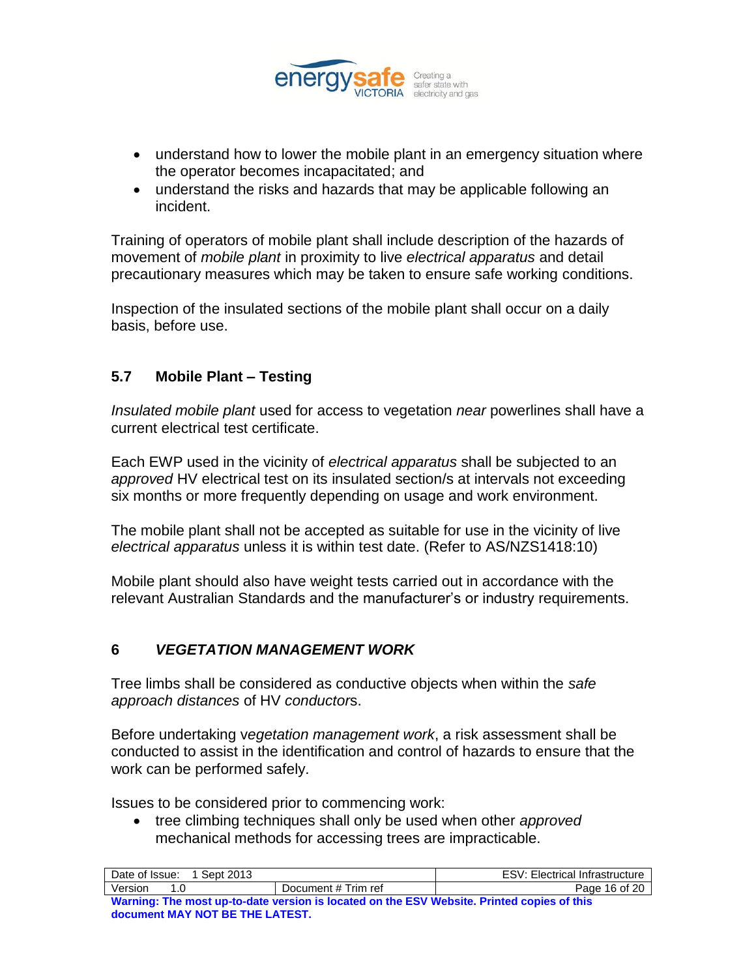

- understand how to lower the mobile plant in an emergency situation where the operator becomes incapacitated; and
- understand the risks and hazards that may be applicable following an incident.

Training of operators of mobile plant shall include description of the hazards of movement of *mobile plant* in proximity to live *electrical apparatus* and detail precautionary measures which may be taken to ensure safe working conditions.

Inspection of the insulated sections of the mobile plant shall occur on a daily basis, before use.

# **5.7 Mobile Plant – Testing**

*Insulated mobile plant* used for access to vegetation *near* powerlines shall have a current electrical test certificate.

Each EWP used in the vicinity of *electrical apparatus* shall be subjected to an *approved* HV electrical test on its insulated section/s at intervals not exceeding six months or more frequently depending on usage and work environment.

The mobile plant shall not be accepted as suitable for use in the vicinity of live *electrical apparatus* unless it is within test date. (Refer to AS/NZS1418:10)

Mobile plant should also have weight tests carried out in accordance with the relevant Australian Standards and the manufacturer"s or industry requirements.

# **6** *VEGETATION MANAGEMENT WORK*

Tree limbs shall be considered as conductive objects when within the *safe approach distances* of HV *conductor*s.

Before undertaking v*egetation management work*, a risk assessment shall be conducted to assist in the identification and control of hazards to ensure that the work can be performed safely.

Issues to be considered prior to commencing work:

 tree climbing techniques shall only be used when other *approved* mechanical methods for accessing trees are impracticable.

| Date of Issue:<br>1 Sept 2013                                                              | <b>ESV: Electrical Infrastructure</b> |               |  |  |  |
|--------------------------------------------------------------------------------------------|---------------------------------------|---------------|--|--|--|
| Version<br>1 በ                                                                             | Document # Trim ref                   | Page 16 of 20 |  |  |  |
| Warning: The most up-to-date version is located on the ESV Website. Printed copies of this |                                       |               |  |  |  |
| document MAY NOT BE THE LATEST.                                                            |                                       |               |  |  |  |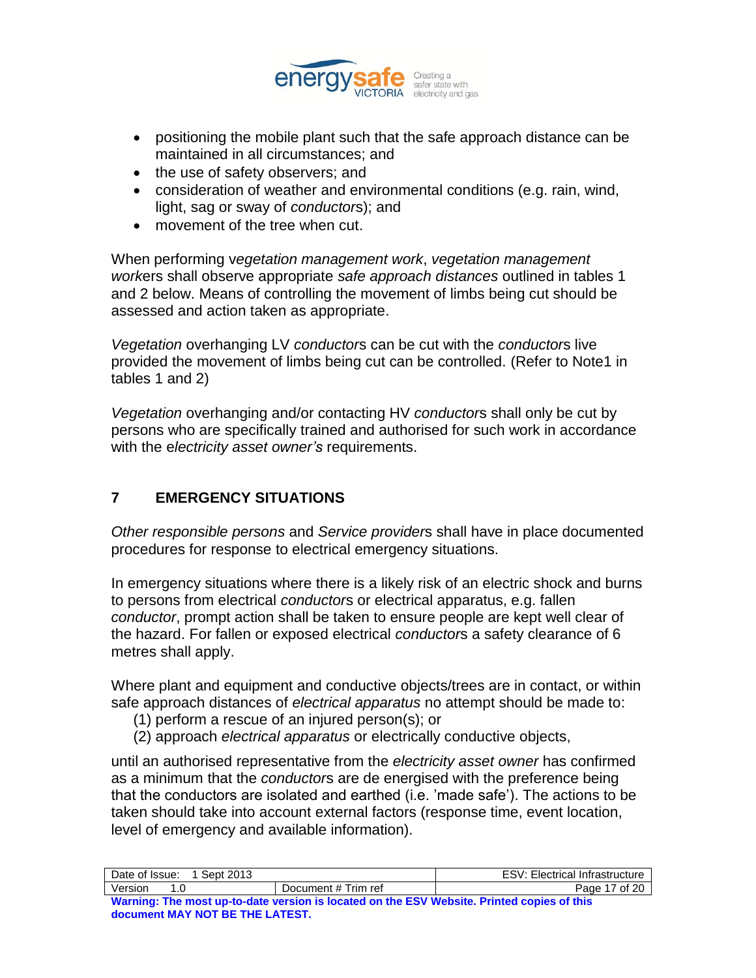

- positioning the mobile plant such that the safe approach distance can be maintained in all circumstances; and
- the use of safety observers; and
- consideration of weather and environmental conditions (e.g. rain, wind, light, sag or sway of *conductor*s); and
- movement of the tree when cut.

When performing v*egetation management work*, *vegetation management work*ers shall observe appropriate *safe approach distances* outlined in tables 1 and 2 below. Means of controlling the movement of limbs being cut should be assessed and action taken as appropriate.

*Vegetation* overhanging LV *conductor*s can be cut with the *conductor*s live provided the movement of limbs being cut can be controlled. (Refer to Note1 in tables 1 and 2)

*Vegetation* overhanging and/or contacting HV *conductor*s shall only be cut by persons who are specifically trained and authorised for such work in accordance with the e*lectricity asset owner's* requirements.

# **7 EMERGENCY SITUATIONS**

*Other responsible persons* and *Service provider*s shall have in place documented procedures for response to electrical emergency situations.

In emergency situations where there is a likely risk of an electric shock and burns to persons from electrical *conductor*s or electrical apparatus, e.g. fallen *conductor*, prompt action shall be taken to ensure people are kept well clear of the hazard. For fallen or exposed electrical *conductor*s a safety clearance of 6 metres shall apply.

Where plant and equipment and conductive objects/trees are in contact, or within safe approach distances of *electrical apparatus* no attempt should be made to:

- (1) perform a rescue of an injured person(s); or
- (2) approach *electrical apparatus* or electrically conductive objects,

until an authorised representative from the *electricity asset owner* has confirmed as a minimum that the *conductor*s are de energised with the preference being that the conductors are isolated and earthed (i.e. "made safe"). The actions to be taken should take into account external factors (response time, event location, level of emergency and available information).

| Date of Issue:<br>1 Sept 2013                                                              | <b>ESV: Electrical Infrastructure</b> |               |  |  |  |  |
|--------------------------------------------------------------------------------------------|---------------------------------------|---------------|--|--|--|--|
| Version<br>1 N                                                                             | Document # Trim ref                   | Page 17 of 20 |  |  |  |  |
| Warning: The most up-to-date version is located on the ESV Website. Printed copies of this |                                       |               |  |  |  |  |
| document MAY NOT BE THE LATEST.                                                            |                                       |               |  |  |  |  |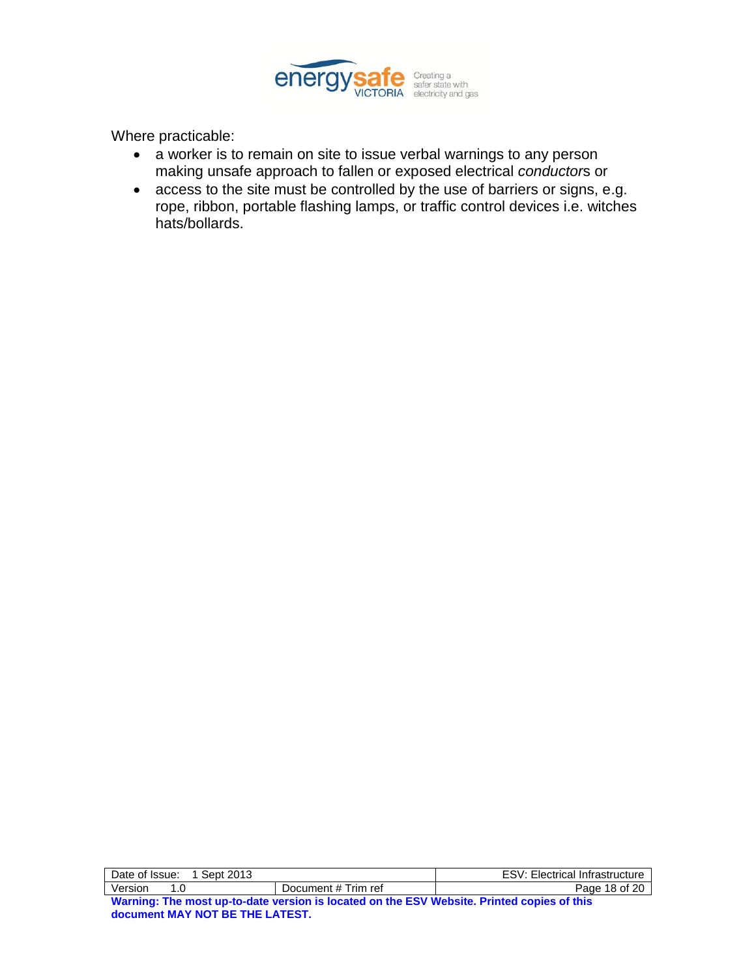

Where practicable:

- a worker is to remain on site to issue verbal warnings to any person making unsafe approach to fallen or exposed electrical *conductor*s or
- access to the site must be controlled by the use of barriers or signs, e.g. rope, ribbon, portable flashing lamps, or traffic control devices i.e. witches hats/bollards.

| Date of Issue: 1 Sept 2013                                                                 | <b>ESV: Electrical Infrastructure</b> |               |  |  |  |  |
|--------------------------------------------------------------------------------------------|---------------------------------------|---------------|--|--|--|--|
| Version<br>1 በ                                                                             | Document # Trim ref                   | Page 18 of 20 |  |  |  |  |
| Warning: The most up-to-date version is located on the ESV Website. Printed copies of this |                                       |               |  |  |  |  |
| document MAY NOT BE THE LATEST.                                                            |                                       |               |  |  |  |  |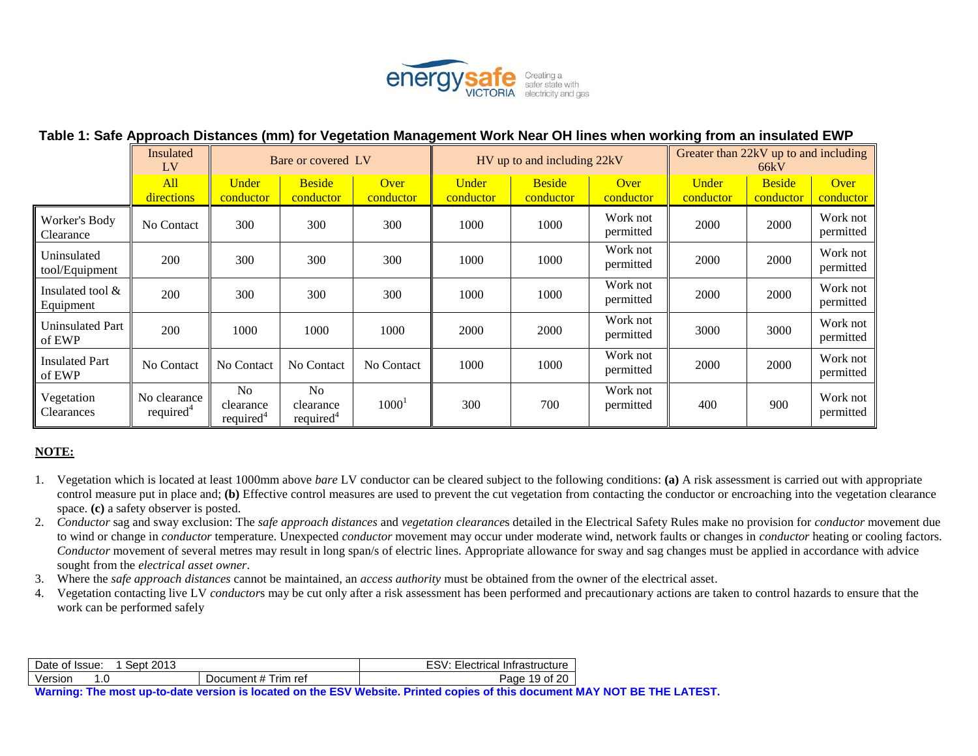

#### **Table 1: Safe Approach Distances (mm) for Vegetation Management Work Near OH lines when working from an insulated EWP**

|                                  | Insulated<br>LV                       | Bare or covered LV                                   |                                                      | HV up to and including 22kV |                           |                            | Greater than 22kV up to and including<br>66kV |                    |                            |                       |
|----------------------------------|---------------------------------------|------------------------------------------------------|------------------------------------------------------|-----------------------------|---------------------------|----------------------------|-----------------------------------------------|--------------------|----------------------------|-----------------------|
|                                  | All<br>directions                     | <b>Under</b><br>conductor                            | <b>Beside</b><br>conductor                           | Over<br>conductor           | <b>Under</b><br>conductor | <b>Beside</b><br>conductor | Over<br>conductor                             | Under<br>conductor | <b>Beside</b><br>conductor | Over<br>conductor     |
| Worker's Body<br>Clearance       | No Contact                            | 300                                                  | 300                                                  | 300                         | 1000                      | 1000                       | Work not<br>permitted                         | 2000               | 2000                       | Work not<br>permitted |
| Uninsulated<br>tool/Equipment    | 200                                   | 300                                                  | 300                                                  | 300                         | 1000                      | 1000                       | Work not<br>permitted                         | 2000               | 2000                       | Work not<br>permitted |
| Insulated tool $\&$<br>Equipment | 200                                   | 300                                                  | 300                                                  | 300                         | 1000                      | 1000                       | Work not<br>permitted                         | 2000               | 2000                       | Work not<br>permitted |
| Uninsulated Part<br>of EWP       | 200                                   | 1000                                                 | 1000                                                 | 1000                        | 2000                      | 2000                       | Work not<br>permitted                         | 3000               | 3000                       | Work not<br>permitted |
| <b>Insulated Part</b><br>of EWP  | No Contact                            | No Contact                                           | No Contact                                           | No Contact                  | 1000                      | 1000                       | Work not<br>permitted                         | 2000               | 2000                       | Work not<br>permitted |
| Vegetation<br>Clearances         | No clearance<br>required <sup>4</sup> | N <sub>o</sub><br>clearance<br>required <sup>4</sup> | N <sub>0</sub><br>clearance<br>required <sup>4</sup> | 1000 <sup>1</sup>           | 300                       | 700                        | Work not<br>permitted                         | 400                | 900                        | Work not<br>permitted |

#### **NOTE:**

- 1. Vegetation which is located at least 1000mm above *bare* LV conductor can be cleared subject to the following conditions: **(a)** A risk assessment is carried out with appropriate control measure put in place and; **(b)** Effective control measures are used to prevent the cut vegetation from contacting the conductor or encroaching into the vegetation clearance space. **(c)** a safety observer is posted.
- 2. *Conductor* sag and sway exclusion: The *safe approach distances* and *vegetation clearance*s detailed in the Electrical Safety Rules make no provision for *conductor* movement due to wind or change in *conductor* temperature. Unexpected *conductor* movement may occur under moderate wind, network faults or changes in *conductor* heating or cooling factors. *Conductor* movement of several metres may result in long span/s of electric lines. Appropriate allowance for sway and sag changes must be applied in accordance with advice sought from the *electrical asset owner*.
- 3. Where the *safe approach distances* cannot be maintained, an *access authority* must be obtained from the owner of the electrical asset.
- 4. Vegetation contacting live LV *conductor*s may be cut only after a risk assessment has been performed and precautionary actions are taken to control hazards to ensure that the work can be performed safely

| Date of Issue: | 2013<br>Sept∴ |                     | FSV·<br>Electrical Infrastructure |
|----------------|---------------|---------------------|-----------------------------------|
| Version        |               | Document # Trim ref | 19 of 20<br>Page                  |

**Warning: The most up-to-date version is located on the ESV Website. Printed copies of this document MAY NOT BE THE LATEST.**